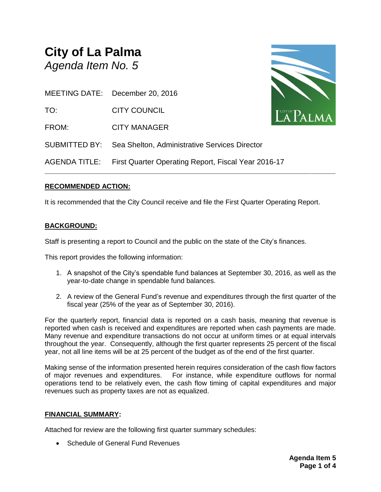# **City of La Palma** *Agenda Item No. 5*



MEETING DATE: December 20, 2016

TO: CITY COUNCIL

FROM: CITY MANAGER

AGENDA TITLE: First Quarter Operating Report, Fiscal Year 2016-17

SUBMITTED BY: Sea Shelton, Administrative Services Director

# **RECOMMENDED ACTION:**

It is recommended that the City Council receive and file the First Quarter Operating Report.

**\_\_\_\_\_\_\_\_\_\_\_\_\_\_\_\_\_\_\_\_\_\_\_\_\_\_\_\_\_\_\_\_\_\_\_\_\_\_\_\_\_\_\_\_\_\_\_\_\_\_\_\_\_\_\_\_\_\_\_\_\_\_\_\_\_\_\_\_\_\_**

# **BACKGROUND:**

Staff is presenting a report to Council and the public on the state of the City's finances.

This report provides the following information:

- 1. A snapshot of the City's spendable fund balances at September 30, 2016, as well as the year-to-date change in spendable fund balances.
- 2. A review of the General Fund's revenue and expenditures through the first quarter of the fiscal year (25% of the year as of September 30, 2016).

For the quarterly report, financial data is reported on a cash basis, meaning that revenue is reported when cash is received and expenditures are reported when cash payments are made. Many revenue and expenditure transactions do not occur at uniform times or at equal intervals throughout the year. Consequently, although the first quarter represents 25 percent of the fiscal year, not all line items will be at 25 percent of the budget as of the end of the first quarter.

Making sense of the information presented herein requires consideration of the cash flow factors of major revenues and expenditures. For instance, while expenditure outflows for normal operations tend to be relatively even, the cash flow timing of capital expenditures and major revenues such as property taxes are not as equalized.

# **FINANCIAL SUMMARY:**

Attached for review are the following first quarter summary schedules:

• Schedule of General Fund Revenues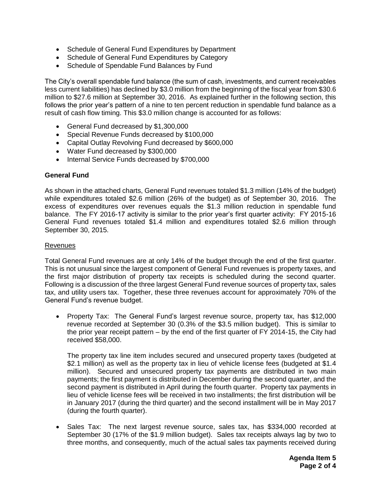- Schedule of General Fund Expenditures by Department
- Schedule of General Fund Expenditures by Category
- Schedule of Spendable Fund Balances by Fund

The City's overall spendable fund balance (the sum of cash, investments, and current receivables less current liabilities) has declined by \$3.0 million from the beginning of the fiscal year from \$30.6 million to \$27.6 million at September 30, 2016. As explained further in the following section, this follows the prior year's pattern of a nine to ten percent reduction in spendable fund balance as a result of cash flow timing. This \$3.0 million change is accounted for as follows:

- General Fund decreased by \$1,300,000
- Special Revenue Funds decreased by \$100,000
- Capital Outlay Revolving Fund decreased by \$600,000
- Water Fund decreased by \$300,000
- Internal Service Funds decreased by \$700,000

## **General Fund**

As shown in the attached charts, General Fund revenues totaled \$1.3 million (14% of the budget) while expenditures totaled \$2.6 million (26% of the budget) as of September 30, 2016. The excess of expenditures over revenues equals the \$1.3 million reduction in spendable fund balance. The FY 2016-17 activity is similar to the prior year's first quarter activity: FY 2015-16 General Fund revenues totaled \$1.4 million and expenditures totaled \$2.6 million through September 30, 2015.

## Revenues

Total General Fund revenues are at only 14% of the budget through the end of the first quarter. This is not unusual since the largest component of General Fund revenues is property taxes, and the first major distribution of property tax receipts is scheduled during the second quarter. Following is a discussion of the three largest General Fund revenue sources of property tax, sales tax, and utility users tax. Together, these three revenues account for approximately 70% of the General Fund's revenue budget.

• Property Tax: The General Fund's largest revenue source, property tax, has \$12,000 revenue recorded at September 30 (0.3% of the \$3.5 million budget). This is similar to the prior year receipt pattern – by the end of the first quarter of FY 2014-15, the City had received \$58,000.

The property tax line item includes secured and unsecured property taxes (budgeted at \$2.1 million) as well as the property tax in lieu of vehicle license fees (budgeted at \$1.4 million). Secured and unsecured property tax payments are distributed in two main payments; the first payment is distributed in December during the second quarter, and the second payment is distributed in April during the fourth quarter. Property tax payments in lieu of vehicle license fees will be received in two installments; the first distribution will be in January 2017 (during the third quarter) and the second installment will be in May 2017 (during the fourth quarter).

• Sales Tax: The next largest revenue source, sales tax, has \$334,000 recorded at September 30 (17% of the \$1.9 million budget). Sales tax receipts always lag by two to three months, and consequently, much of the actual sales tax payments received during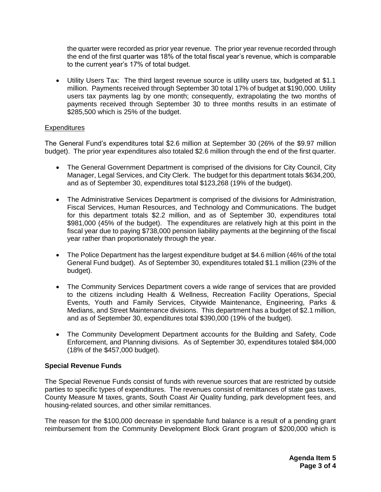the quarter were recorded as prior year revenue. The prior year revenue recorded through the end of the first quarter was 18% of the total fiscal year's revenue, which is comparable to the current year's 17% of total budget.

 Utility Users Tax: The third largest revenue source is utility users tax, budgeted at \$1.1 million. Payments received through September 30 total 17% of budget at \$190,000. Utility users tax payments lag by one month; consequently, extrapolating the two months of payments received through September 30 to three months results in an estimate of \$285,500 which is 25% of the budget.

## **Expenditures**

The General Fund's expenditures total \$2.6 million at September 30 (26% of the \$9.97 million budget). The prior year expenditures also totaled \$2.6 million through the end of the first quarter.

- The General Government Department is comprised of the divisions for City Council, City Manager, Legal Services, and City Clerk. The budget for this department totals \$634,200, and as of September 30, expenditures total \$123,268 (19% of the budget).
- The Administrative Services Department is comprised of the divisions for Administration, Fiscal Services, Human Resources, and Technology and Communications. The budget for this department totals \$2.2 million, and as of September 30, expenditures total \$981,000 (45% of the budget). The expenditures are relatively high at this point in the fiscal year due to paying \$738,000 pension liability payments at the beginning of the fiscal year rather than proportionately through the year.
- The Police Department has the largest expenditure budget at \$4.6 million (46% of the total General Fund budget). As of September 30, expenditures totaled \$1.1 million (23% of the budget).
- The Community Services Department covers a wide range of services that are provided to the citizens including Health & Wellness, Recreation Facility Operations, Special Events, Youth and Family Services, Citywide Maintenance, Engineering, Parks & Medians, and Street Maintenance divisions. This department has a budget of \$2.1 million, and as of September 30, expenditures total \$390,000 (19% of the budget).
- The Community Development Department accounts for the Building and Safety, Code Enforcement, and Planning divisions. As of September 30, expenditures totaled \$84,000 (18% of the \$457,000 budget).

# **Special Revenue Funds**

The Special Revenue Funds consist of funds with revenue sources that are restricted by outside parties to specific types of expenditures. The revenues consist of remittances of state gas taxes, County Measure M taxes, grants, South Coast Air Quality funding, park development fees, and housing-related sources, and other similar remittances.

The reason for the \$100,000 decrease in spendable fund balance is a result of a pending grant reimbursement from the Community Development Block Grant program of \$200,000 which is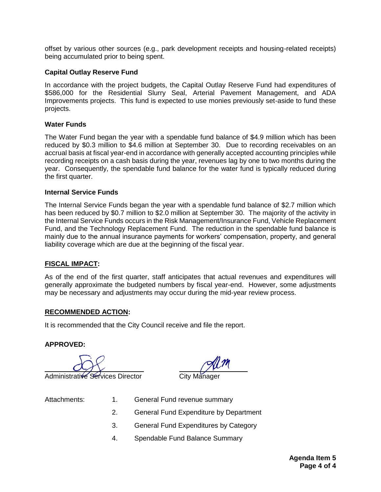offset by various other sources (e.g., park development receipts and housing-related receipts) being accumulated prior to being spent.

## **Capital Outlay Reserve Fund**

In accordance with the project budgets, the Capital Outlay Reserve Fund had expenditures of \$586,000 for the Residential Slurry Seal, Arterial Pavement Management, and ADA Improvements projects. This fund is expected to use monies previously set-aside to fund these projects.

#### **Water Funds**

The Water Fund began the year with a spendable fund balance of \$4.9 million which has been reduced by \$0.3 million to \$4.6 million at September 30. Due to recording receivables on an accrual basis at fiscal year-end in accordance with generally accepted accounting principles while recording receipts on a cash basis during the year, revenues lag by one to two months during the year. Consequently, the spendable fund balance for the water fund is typically reduced during the first quarter.

#### **Internal Service Funds**

The Internal Service Funds began the year with a spendable fund balance of \$2.7 million which has been reduced by \$0.7 million to \$2.0 million at September 30. The majority of the activity in the Internal Service Funds occurs in the Risk Management/Insurance Fund, Vehicle Replacement Fund, and the Technology Replacement Fund. The reduction in the spendable fund balance is mainly due to the annual insurance payments for workers' compensation, property, and general liability coverage which are due at the beginning of the fiscal year.

## **FISCAL IMPACT:**

As of the end of the first quarter, staff anticipates that actual revenues and expenditures will generally approximate the budgeted numbers by fiscal year-end. However, some adjustments may be necessary and adjustments may occur during the mid-year review process.

## **RECOMMENDED ACTION:**

It is recommended that the City Council receive and file the report.

## **APPROVED:**

Administrative Services Director

- 
- Attachments: 1. General Fund revenue summary
	- 2. General Fund Expenditure by Department
	- 3. General Fund Expenditures by Category
	- 4. Spendable Fund Balance Summary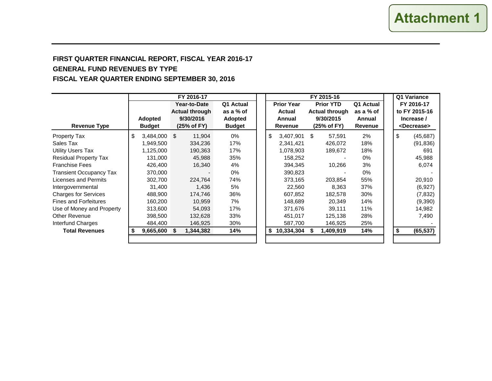# **FIRST QUARTER FINANCIAL REPORT, FISCAL YEAR 2016-17 GENERAL FUND REVENUES BY TYPE FISCAL YEAR QUARTER ENDING SEPTEMBER 30, 2016**

|                                | FY 2016-17    |                |             |                       |  |               |  |    |                   |                  |                       | Q1 Variance |            |                       |
|--------------------------------|---------------|----------------|-------------|-----------------------|--|---------------|--|----|-------------------|------------------|-----------------------|-------------|------------|-----------------------|
|                                |               |                |             | Year-to-Date          |  | Q1 Actual     |  |    | <b>Prior Year</b> | <b>Prior YTD</b> |                       | Q1 Actual   |            | FY 2016-17            |
|                                |               |                |             | <b>Actual through</b> |  | as a % of     |  |    | Actual            |                  | <b>Actual through</b> | as a % of   |            | to FY 2015-16         |
|                                |               | <b>Adopted</b> |             | 9/30/2016             |  | Adopted       |  |    | Annual            |                  | 9/30/2015             | Annual      | Increase / |                       |
| <b>Revenue Type</b>            | <b>Budget</b> |                | (25% of FY) |                       |  | <b>Budget</b> |  |    | <b>Revenue</b>    | (25% of FY)      |                       | Revenue     |            | <decrease></decrease> |
| <b>Property Tax</b>            | \$            | $3,484,000$ \$ |             | 11.904                |  | 0%            |  | \$ | 3,407,901 \$      |                  | 57.591                | 2%          | \$         | (45,687)              |
| Sales Tax                      |               | 1,949,500      |             | 334,236               |  | 17%           |  |    | 2,341,421         |                  | 426,072               | 18%         |            | (91, 836)             |
| <b>Utility Users Tax</b>       |               | 1,125,000      |             | 190,363               |  | 17%           |  |    | 1,078,903         |                  | 189,672               | 18%         |            | 691                   |
| <b>Residual Property Tax</b>   |               | 131.000        |             | 45,988                |  | 35%           |  |    | 158,252           |                  |                       | $0\%$       |            | 45,988                |
| <b>Franchise Fees</b>          |               | 426,400        |             | 16,340                |  | 4%            |  |    | 394,345           |                  | 10,266                | 3%          |            | 6,074                 |
| <b>Transient Occupancy Tax</b> |               | 370,000        |             |                       |  | $0\%$         |  |    | 390,823           |                  |                       | 0%          |            |                       |
| Licenses and Permits           |               | 302,700        |             | 224,764               |  | 74%           |  |    | 373,165           |                  | 203,854               | 55%         |            | 20,910                |
| Intergovernmental              |               | 31,400         |             | 1,436                 |  | 5%            |  |    | 22,560            |                  | 8,363                 | 37%         |            | (6,927)               |
| <b>Charges for Services</b>    |               | 488.900        |             | 174,746               |  | 36%           |  |    | 607,852           |                  | 182,578               | 30%         |            | (7, 832)              |
| <b>Fines and Forfeitures</b>   |               | 160,200        |             | 10,959                |  | 7%            |  |    | 148,689           |                  | 20,349                | 14%         |            | (9,390)               |
| Use of Money and Property      |               | 313,600        |             | 54.093                |  | 17%           |  |    | 371,676           |                  | 39,111                | 11%         |            | 14,982                |
| <b>Other Revenue</b>           |               | 398,500        |             | 132,628               |  | 33%           |  |    | 451,017           |                  | 125,138               | 28%         |            | 7,490                 |
| Interfund Charges              |               | 484,400        |             | 146,925               |  | 30%           |  |    | 587,700           |                  | 146,925               | 25%         |            |                       |
| <b>Total Revenues</b>          |               | $9,665,600$ \$ |             | 1,344,382             |  | 14%           |  |    | 10,334,304        |                  | 1,409,919             | 14%         |            | (65, 537)             |
|                                |               |                |             |                       |  |               |  |    |                   |                  |                       |             |            |                       |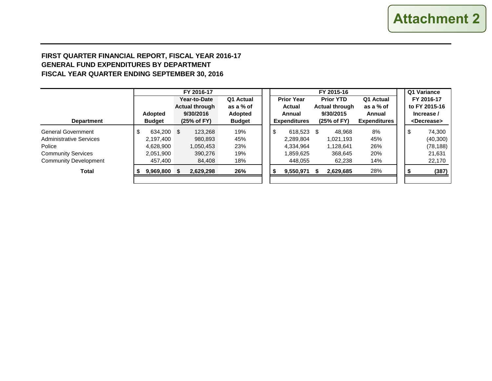# **FIRST QUARTER FINANCIAL REPORT, FISCAL YEAR 2016-17 GENERAL FUND EXPENDITURES BY DEPARTMENT FISCAL YEAR QUARTER ENDING SEPTEMBER 30, 2016**

|                                | FY 2016-17     |               |           |                       |               |  |                             |                     |                  |                       | Q1 Variance         |            |               |                       |  |
|--------------------------------|----------------|---------------|-----------|-----------------------|---------------|--|-----------------------------|---------------------|------------------|-----------------------|---------------------|------------|---------------|-----------------------|--|
|                                |                |               |           | Year-to-Date          | Q1 Actual     |  | <b>Prior Year</b><br>Actual |                     | <b>Prior YTD</b> |                       | Q1 Actual           |            | FY 2016-17    |                       |  |
|                                |                |               |           | <b>Actual through</b> | as a % of     |  |                             |                     |                  | <b>Actual through</b> | as a % of           |            | to FY 2015-16 |                       |  |
|                                | <b>Adopted</b> |               | 9/30/2016 |                       | Adopted       |  | Annual                      |                     | 9/30/2015        |                       | Annual              | Increase / |               |                       |  |
| <b>Department</b>              |                | <b>Budget</b> |           | (25% of FY)           | <b>Budget</b> |  |                             | <b>Expenditures</b> |                  | (25% of FY)           | <b>Expenditures</b> |            |               | <decrease></decrease> |  |
| <b>General Government</b>      |                | 634,200       | \$        | 123,268               | 19%           |  | \$                          | 618,523 \$          |                  | 48.968                | 8%                  |            | Φ             | 74,300                |  |
| <b>Administrative Services</b> |                | 2,197,400     |           | 980,893               | 45%           |  |                             | 2.289.804           |                  | 1.021.193             | 45%                 |            |               | (40, 300)             |  |
| Police                         |                | 4.628.900     |           | 1,050,453             | 23%           |  |                             | 4.334.964           |                  | 1.128.641             | 26%                 |            |               | (78, 188)             |  |
| <b>Community Services</b>      |                | 2,051,900     |           | 390,276               | 19%           |  |                             | 1,859,625           |                  | 368.645               | 20%                 |            |               | 21,631                |  |
| <b>Community Development</b>   |                | 457,400       |           | 84,408                | 18%           |  |                             | 448,055             |                  | 62,238                | 14%                 |            |               | 22,170                |  |
| <b>Total</b>                   |                | 9,969,800     | S         | 2,629,298             | 26%           |  |                             | 9,550,971           |                  | 2,629,685             | 28%                 |            |               | (387)                 |  |
|                                |                |               |           |                       |               |  |                             |                     |                  |                       |                     |            |               |                       |  |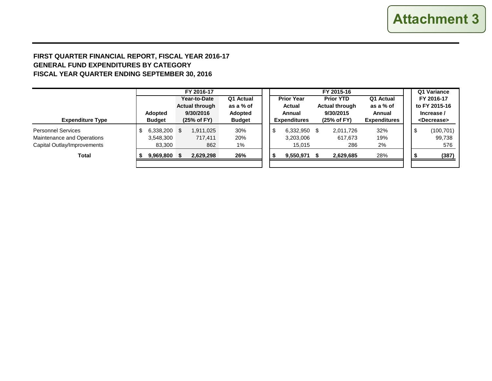# **FIRST QUARTER FINANCIAL REPORT, FISCAL YEAR 2016-17 GENERAL FUND EXPENDITURES BY CATEGORY FISCAL YEAR QUARTER ENDING SEPTEMBER 30, 2016**

|                                                                                        |                                           | FY 2016-17<br>Year-to-Date                        | Q1 Actual                             |  | <b>Prior Year</b>                              | FY 2015-16<br><b>Prior YTD</b>                    | Q1 Actual                                  | Q1 Variance<br>FY 2016-17 |                                                      |  |
|----------------------------------------------------------------------------------------|-------------------------------------------|---------------------------------------------------|---------------------------------------|--|------------------------------------------------|---------------------------------------------------|--------------------------------------------|---------------------------|------------------------------------------------------|--|
| <b>Expenditure Type</b>                                                                | <b>Adopted</b><br><b>Budget</b>           | <b>Actual through</b><br>9/30/2016<br>(25% of FY) | as a % of<br>Adopted<br><b>Budget</b> |  | <b>Actual</b><br>Annual<br><b>Expenditures</b> | <b>Actual through</b><br>9/30/2015<br>(25% of FY) | as a % of<br>Annual<br><b>Expenditures</b> |                           | to FY 2015-16<br>Increase /<br><decrease></decrease> |  |
| <b>Personnel Services</b><br>Maintenance and Operations<br>Capital Outlay/Improvements | 6,338,200 \$<br>\$<br>3,548,300<br>83,300 | 1,911,025<br>717,411<br>862                       | 30%<br>20%<br>$1\%$                   |  | \$<br>6,332,950 \$<br>3,203,006<br>15,015      | 2,011,726<br>617,673<br>286                       | 32%<br>19%<br>2%                           |                           | (100, 701)<br>99,738<br>576                          |  |
| <b>Total</b>                                                                           | 9,969,800 \$                              | 2,629,298                                         | 26%                                   |  | 9,550,971                                      | 2,629,685                                         | 28%                                        |                           | (387)                                                |  |